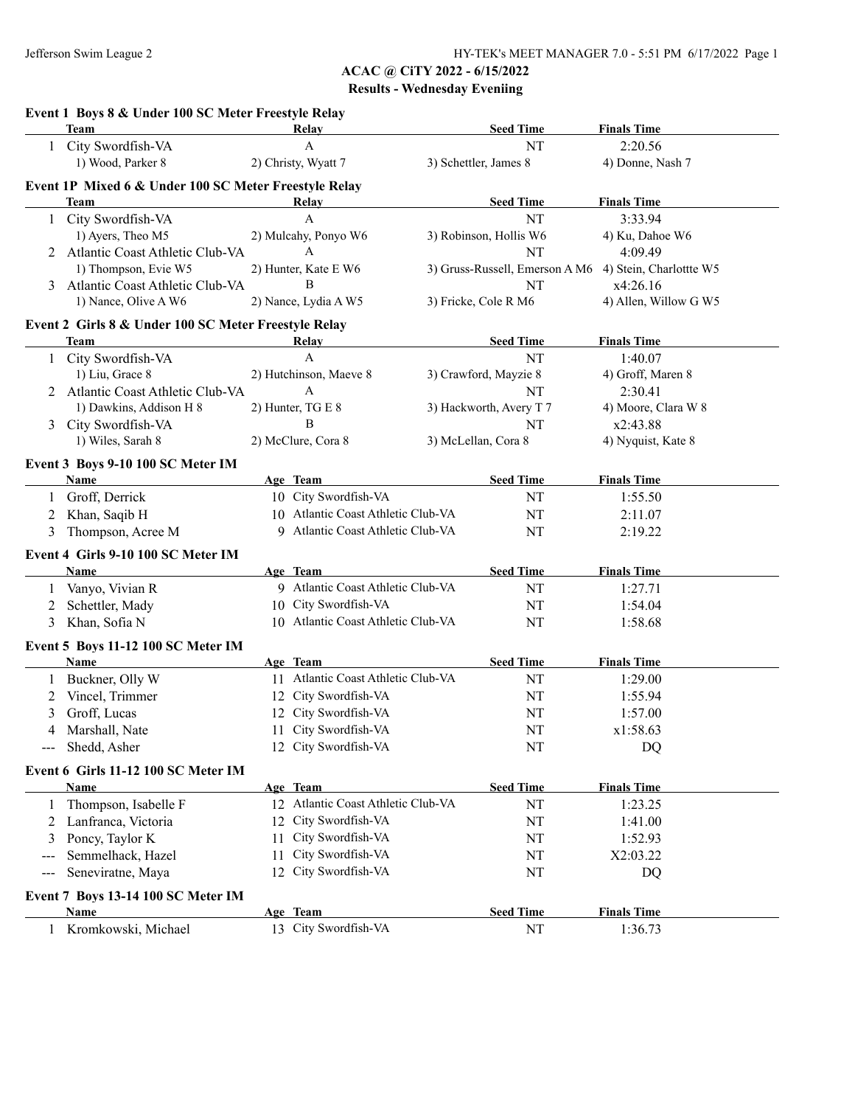|                                          | Event 1 Boys 8 & Under 100 SC Meter Freestyle Relay<br><b>Team</b> | Relay                              | <b>Seed Time</b>                                       | <b>Finals Time</b>         |
|------------------------------------------|--------------------------------------------------------------------|------------------------------------|--------------------------------------------------------|----------------------------|
|                                          | 1 City Swordfish-VA                                                | $\mathbf{A}$                       | NT                                                     | 2:20.56                    |
|                                          | 1) Wood, Parker 8                                                  | 2) Christy, Wyatt 7                | 3) Schettler, James 8                                  | 4) Donne, Nash 7           |
|                                          |                                                                    |                                    |                                                        |                            |
|                                          | Event 1P Mixed 6 & Under 100 SC Meter Freestyle Relay              | Relay                              |                                                        |                            |
|                                          | Team                                                               | A                                  | <b>Seed Time</b>                                       | <b>Finals Time</b>         |
|                                          | 1 City Swordfish-VA                                                |                                    | NT                                                     | 3:33.94                    |
|                                          | 1) Ayers, Theo M5                                                  | 2) Mulcahy, Ponyo W6<br>A          | 3) Robinson, Hollis W6                                 | 4) Ku, Dahoe W6<br>4:09.49 |
|                                          | 2 Atlantic Coast Athletic Club-VA                                  |                                    | NT                                                     |                            |
|                                          | 1) Thompson, Evie W5                                               | 2) Hunter, Kate E W6<br>B          | 3) Gruss-Russell, Emerson A M6 4) Stein, Charlottte W5 |                            |
|                                          | 3 Atlantic Coast Athletic Club-VA                                  |                                    | NT                                                     | x4:26.16                   |
|                                          | 1) Nance, Olive A W6                                               | 2) Nance, Lydia A W5               | 3) Fricke, Cole R M6                                   | 4) Allen, Willow G W5      |
|                                          | Event 2 Girls 8 & Under 100 SC Meter Freestyle Relay               |                                    |                                                        |                            |
|                                          | Team                                                               | Relay                              | <b>Seed Time</b>                                       | <b>Finals Time</b>         |
|                                          | 1 City Swordfish-VA                                                | $\mathbf{A}$                       | NT                                                     | 1:40.07                    |
|                                          | 1) Liu, Grace 8                                                    | 2) Hutchinson, Maeve 8             | 3) Crawford, Mayzie 8                                  | 4) Groff, Maren 8          |
|                                          | 2 Atlantic Coast Athletic Club-VA                                  | A                                  | NT                                                     | 2:30.41                    |
|                                          | 1) Dawkins, Addison H 8                                            | 2) Hunter, TG E 8                  | 3) Hackworth, Avery T 7                                | 4) Moore, Clara W 8        |
|                                          | 3 City Swordfish-VA                                                | B                                  | NT                                                     | x2:43.88                   |
|                                          | 1) Wiles, Sarah 8                                                  | 2) McClure, Cora 8                 | 3) McLellan, Cora 8                                    | 4) Nyquist, Kate 8         |
|                                          | Event 3 Boys 9-10 100 SC Meter IM                                  |                                    |                                                        |                            |
|                                          | <b>Name</b>                                                        | Age Team                           | <b>Seed Time</b>                                       | <b>Finals Time</b>         |
| 1                                        | Groff, Derrick                                                     | 10 City Swordfish-VA               | NT                                                     | 1:55.50                    |
| 2                                        | Khan, Saqib H                                                      | 10 Atlantic Coast Athletic Club-VA | NT                                                     | 2:11.07                    |
| 3                                        | Thompson, Acree M                                                  | 9 Atlantic Coast Athletic Club-VA  | NT                                                     | 2:19.22                    |
|                                          |                                                                    |                                    |                                                        |                            |
|                                          | Event 4 Girls 9-10 100 SC Meter IM                                 |                                    |                                                        |                            |
|                                          | <b>Name</b>                                                        | Age Team                           | <b>Seed Time</b>                                       | <b>Finals Time</b>         |
| 1                                        | Vanyo, Vivian R                                                    | 9 Atlantic Coast Athletic Club-VA  | NT                                                     | 1:27.71                    |
| 2                                        | Schettler, Mady                                                    | 10 City Swordfish-VA               | NT                                                     | 1:54.04                    |
| 3                                        | Khan, Sofia N                                                      | 10 Atlantic Coast Athletic Club-VA | NT                                                     | 1:58.68                    |
|                                          | Event 5 Boys 11-12 100 SC Meter IM                                 |                                    |                                                        |                            |
|                                          | Name                                                               | Age Team                           | <b>Seed Time</b>                                       | <b>Finals Time</b>         |
| $\mathbf{1}$                             | Buckner, Olly W                                                    | 11 Atlantic Coast Athletic Club-VA | NT                                                     | 1:29.00                    |
|                                          | 2 Vincel, Trimmer                                                  | 12 City Swordfish-VA               | NT                                                     | 1:55.94                    |
| 3                                        | Groff, Lucas                                                       | 12 City Swordfish-VA               | NT                                                     | 1:57.00                    |
|                                          | 4 Marshall, Nate                                                   | 11 City Swordfish-VA               | NT                                                     | x1:58.63                   |
|                                          | --- Shedd, Asher                                                   | 12 City Swordfish-VA               | NT                                                     | DQ                         |
|                                          |                                                                    |                                    |                                                        |                            |
|                                          | Event 6 Girls 11-12 100 SC Meter IM                                |                                    |                                                        |                            |
|                                          | Name                                                               | Age Team                           | <b>Seed Time</b>                                       | <b>Finals Time</b>         |
| $\perp$                                  | Thompson, Isabelle F                                               | 12 Atlantic Coast Athletic Club-VA | NT                                                     | 1:23.25                    |
| 2                                        | Lanfranca, Victoria                                                | 12 City Swordfish-VA               | NT                                                     | 1:41.00                    |
| 3                                        | Poncy, Taylor K                                                    | 11 City Swordfish-VA               | NT                                                     | 1:52.93                    |
|                                          | Semmelhack, Hazel                                                  | City Swordfish-VA<br>11            | NT                                                     | X2:03.22                   |
| $\hspace{0.05cm} \ldots \hspace{0.05cm}$ | Seneviratne, Maya                                                  | 12 City Swordfish-VA               | NT                                                     | DQ                         |
|                                          | Event 7 Boys 13-14 100 SC Meter IM                                 |                                    |                                                        |                            |
|                                          | Name                                                               | Age Team                           | <b>Seed Time</b>                                       | <b>Finals Time</b>         |
|                                          | Kromkowski, Michael                                                | 13 City Swordfish-VA               | NT                                                     | 1:36.73                    |
|                                          |                                                                    |                                    |                                                        |                            |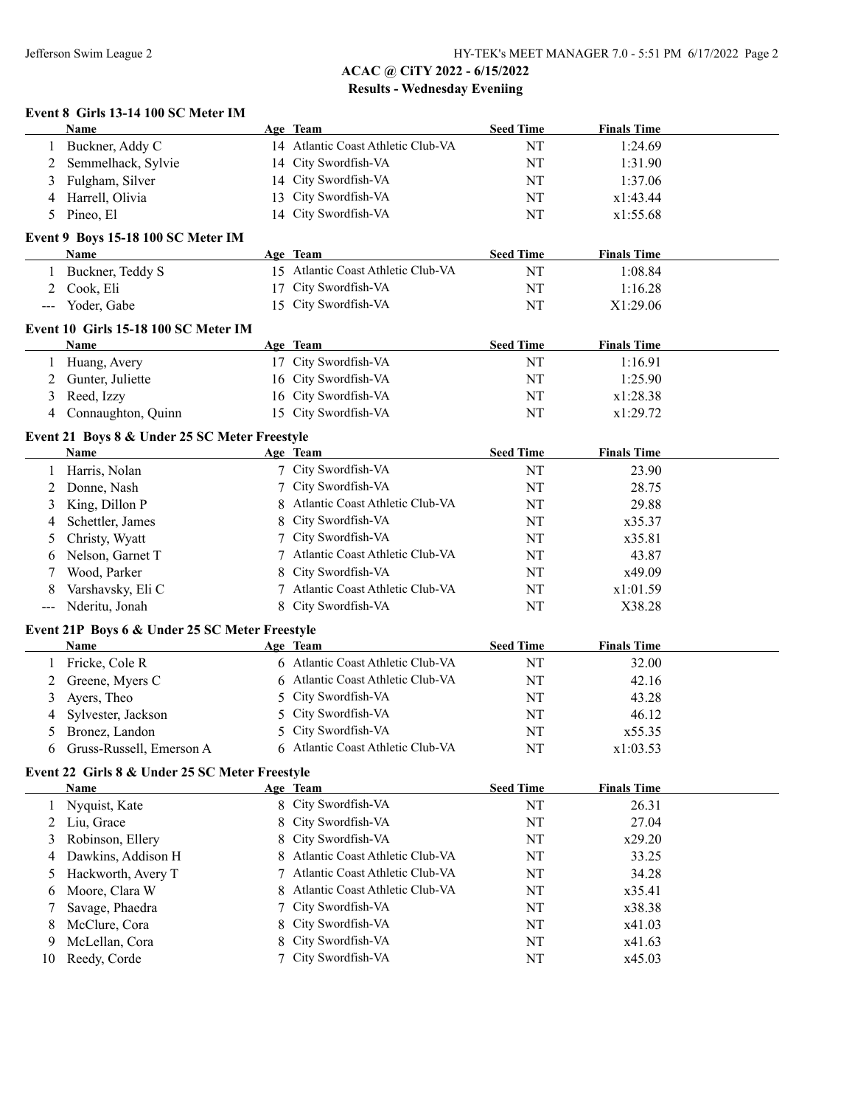### **Event 8 Girls 13-14 100 SC Meter IM Name Age Team Seed Time Finals Time** 1 Buckner, Addy C 14 Atlantic Coast Athletic Club-VA NT 1:24.69 2 Semmelhack, Sylvie 14 City Swordfish-VA NT 1:31.90 3 Fulgham, Silver 14 City Swordfish-VA NT 1:37.06 4 Harrell, Olivia 13 City Swordfish-VA NT x1:43.44 5 Pineo, El 14 City Swordfish-VA NT x1:55.68 **Event 9 Boys 15-18 100 SC Meter IM Age Team Seed Time Finals Time** 1 Buckner, Teddy S 15 Atlantic Coast Athletic Club-VA NT 1:08.84 2 Cook, Eli 17 City Swordfish-VA NT 1:16.28 -- Yoder, Gabe 15 City Swordfish-VA NT X1:29.06 **Event 10 Girls 15-18 100 SC Meter IM Name Age Team Seed Time Finals Time** 1 Huang, Avery 17 City Swordfish-VA NT 1:16.91 2 Gunter, Juliette 16 City Swordfish-VA NT 1:25.90 3 Reed, Izzy 16 City Swordfish-VA NT x1:28.38 4 Connaughton, Quinn 15 City Swordfish-VA NT x1:29.72 **Event 21 Boys 8 & Under 25 SC Meter Freestyle Name Age Team Seed Time Finals Time** 1 Harris, Nolan 23.90 7 City Swordfish-VA NT 23.90 2 Donne, Nash 7 City Swordfish-VA NT 28.75 3 King, Dillon P 8 Atlantic Coast Athletic Club-VA NT 29.88 4 Schettler, James 8 City Swordfish-VA NT x35.37 5 Christy, Wyatt 7 City Swordfish-VA NT x35.81 6 Nelson, Garnet T 7 Atlantic Coast Athletic Club-VA NT 43.87 7 Wood, Parker 8 City Swordfish-VA NT x49.09 8 Varshavsky, Eli C 7 Atlantic Coast Athletic Club-VA NT  $x1:01.59$ --- Nderitu, Jonah 8 City Swordfish-VA NT X38.28 **Event 21P Boys 6 & Under 25 SC Meter Freestyle Name Age Team Seed Time Finals Time** 1 Fricke, Cole R 6 Atlantic Coast Athletic Club-VA NT 32.00 2 Greene, Myers C 6 Atlantic Coast Athletic Club-VA NT 42.16 3 Ayers, Theo 5 City Swordfish-VA NT 43.28 4 Sylvester, Jackson 5 City Swordfish-VA NT 46.12 5 Bronez, Landon 5 City Swordfish-VA NT x55.35 6 Gruss-Russell, Emerson A 6 Atlantic Coast Athletic Club-VA NT x1:03.53 **Event 22 Girls 8 & Under 25 SC Meter Freestyle Name Age Team Seed Time Finals Time** 1 Nyquist, Kate 8 City Swordfish-VA NT 26.31 2 Liu, Grace 8 City Swordfish-VA NT 27.04 3 Robinson, Ellery 8 City Swordfish-VA NT  $x29.20$ 4 Dawkins, Addison H 8 Atlantic Coast Athletic Club-VA NT 33.25 5 Hackworth, Avery T 7 Atlantic Coast Athletic Club-VA NT 34.28 6 Moore, Clara W 8 Atlantic Coast Athletic Club-VA NT x35.41 7 Savage, Phaedra 7 City Swordfish-VA NT x38.38 8 McClure, Cora 8 City Swordfish-VA NT  $X41.03$ 9 McLellan, Cora 8 City Swordfish-VA NT x41.63 10 Reedy, Corde 7 City Swordfish-VA NT x45.03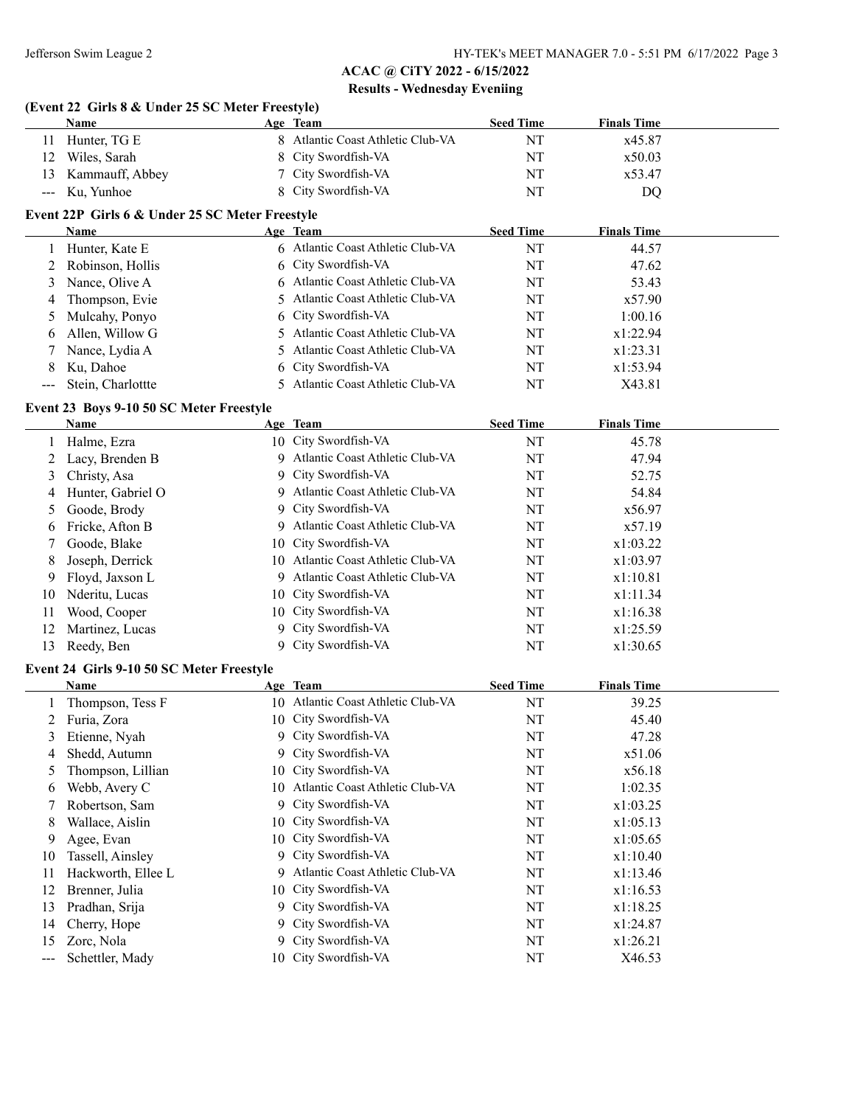### **(Event 22 Girls 8 & Under 25 SC Meter Freestyle)**

|    | Name               | Age Team                          | <b>Seed Time</b> | <b>Finals Time</b> |  |
|----|--------------------|-----------------------------------|------------------|--------------------|--|
|    | Hunter, TG E       | 8 Atlantic Coast Athletic Club-VA | NT               | x45.87             |  |
| 12 | Wiles, Sarah       | 8 City Swordfish-VA               | NT               | x50.03             |  |
|    | 13 Kammauff, Abbey | 7 City Swordfish-VA               | NT               | x53.47             |  |
|    | --- Ku, Yunhoe     | 8 City Swordfish-VA               | NT               | DQ                 |  |

### **Event 22P Girls 6 & Under 25 SC Meter Freestyle**

| Name                  | Age Team                          | <b>Seed Time</b> | <b>Finals Time</b> |  |
|-----------------------|-----------------------------------|------------------|--------------------|--|
| 1 Hunter, Kate E      | 6 Atlantic Coast Athletic Club-VA | NT               | 44.57              |  |
| 2 Robinson, Hollis    | 6 City Swordfish-VA               | NT               | 47.62              |  |
| 3 Nance, Olive A      | 6 Atlantic Coast Athletic Club-VA | NT               | 53.43              |  |
| 4 Thompson, Evie      | 5 Atlantic Coast Athletic Club-VA | NT               | x57.90             |  |
| 5 Mulcahy, Ponyo      | 6 City Swordfish-VA               | NT               | 1:00.16            |  |
| 6 Allen, Willow G     | 5 Atlantic Coast Athletic Club-VA | NT               | x1:22.94           |  |
| 7 Nance, Lydia A      | 5 Atlantic Coast Athletic Club-VA | NT               | x1:23.31           |  |
| 8 Ku, Dahoe           | 6 City Swordfish-VA               | NT               | x1:53.94           |  |
| --- Stein, Charlottte | 5 Atlantic Coast Athletic Club-VA | NT               | X43.81             |  |

### **Event 23 Boys 9-10 50 SC Meter Freestyle**

|     | Name              | Age Team                           | <b>Seed Time</b> | <b>Finals Time</b> |  |
|-----|-------------------|------------------------------------|------------------|--------------------|--|
|     | Halme, Ezra       | 10 City Swordfish-VA               | NT               | 45.78              |  |
|     | Lacy, Brenden B   | 9 Atlantic Coast Athletic Club-VA  | NT               | 47.94              |  |
| 3   | Christy, Asa      | 9 City Swordfish-VA                | NT               | 52.75              |  |
| 4   | Hunter, Gabriel O | 9 Atlantic Coast Athletic Club-VA  | NT               | 54.84              |  |
|     | Goode, Brody      | 9 City Swordfish-VA                | NT               | x56.97             |  |
| 6   | Fricke, Afton B   | 9 Atlantic Coast Athletic Club-VA  | NT               | x57.19             |  |
|     | Goode, Blake      | 10 City Swordfish-VA               | NT               | x1:03.22           |  |
| 8   | Joseph, Derrick   | 10 Atlantic Coast Athletic Club-VA | NT               | x1:03.97           |  |
| 9   | Floyd, Jaxson L   | 9 Atlantic Coast Athletic Club-VA  | NT               | x1:10.81           |  |
| 10  | Nderitu, Lucas    | 10 City Swordfish-VA               | NT               | x1:11.34           |  |
| 11  | Wood, Cooper      | 10 City Swordfish-VA               | NT               | x1:16.38           |  |
| 12  | Martinez, Lucas   | 9 City Swordfish-VA                | NT               | x1:25.59           |  |
| 13. | Reedy, Ben        | 9 City Swordfish-VA                | NT               | x1:30.65           |  |

### **Event 24 Girls 9-10 50 SC Meter Freestyle**

|    | Name               |    | Age Team                        | <b>Seed Time</b> | <b>Finals Time</b> |  |
|----|--------------------|----|---------------------------------|------------------|--------------------|--|
|    | Thompson, Tess F   | 10 | Atlantic Coast Athletic Club-VA | NT               | 39.25              |  |
| 2  | Furia, Zora        |    | 10 City Swordfish-VA            | NT               | 45.40              |  |
| 3  | Etienne, Nyah      |    | 9 City Swordfish-VA             | NT               | 47.28              |  |
| 4  | Shedd, Autumn      |    | 9 City Swordfish-VA             | NT               | x51.06             |  |
| 5  | Thompson, Lillian  |    | 10 City Swordfish-VA            | NT               | x56.18             |  |
| 6  | Webb, Avery C      | 10 | Atlantic Coast Athletic Club-VA | NT               | 1:02.35            |  |
|    | Robertson, Sam     |    | 9 City Swordfish-VA             | NT               | x1:03.25           |  |
| 8  | Wallace, Aislin    |    | 10 City Swordfish-VA            | NT               | x1:05.13           |  |
| 9  | Agee, Evan         |    | 10 City Swordfish-VA            | NT               | x1:05.65           |  |
| 10 | Tassell, Ainsley   |    | 9 City Swordfish-VA             | NT               | x1:10.40           |  |
| 11 | Hackworth, Ellee L | 9. | Atlantic Coast Athletic Club-VA | NT               | x1:13.46           |  |
| 12 | Brenner, Julia     |    | 10 City Swordfish-VA            | NT               | x1:16.53           |  |
| 13 | Pradhan, Srija     |    | 9 City Swordfish-VA             | NT               | x1:18.25           |  |
| 14 | Cherry, Hope       |    | 9 City Swordfish-VA             | NT               | x1:24.87           |  |
| 15 | Zorc, Nola         |    | 9 City Swordfish-VA             | NT               | x1:26.21           |  |
|    | Schettler, Mady    |    | 10 City Swordfish-VA            | NT               | X46.53             |  |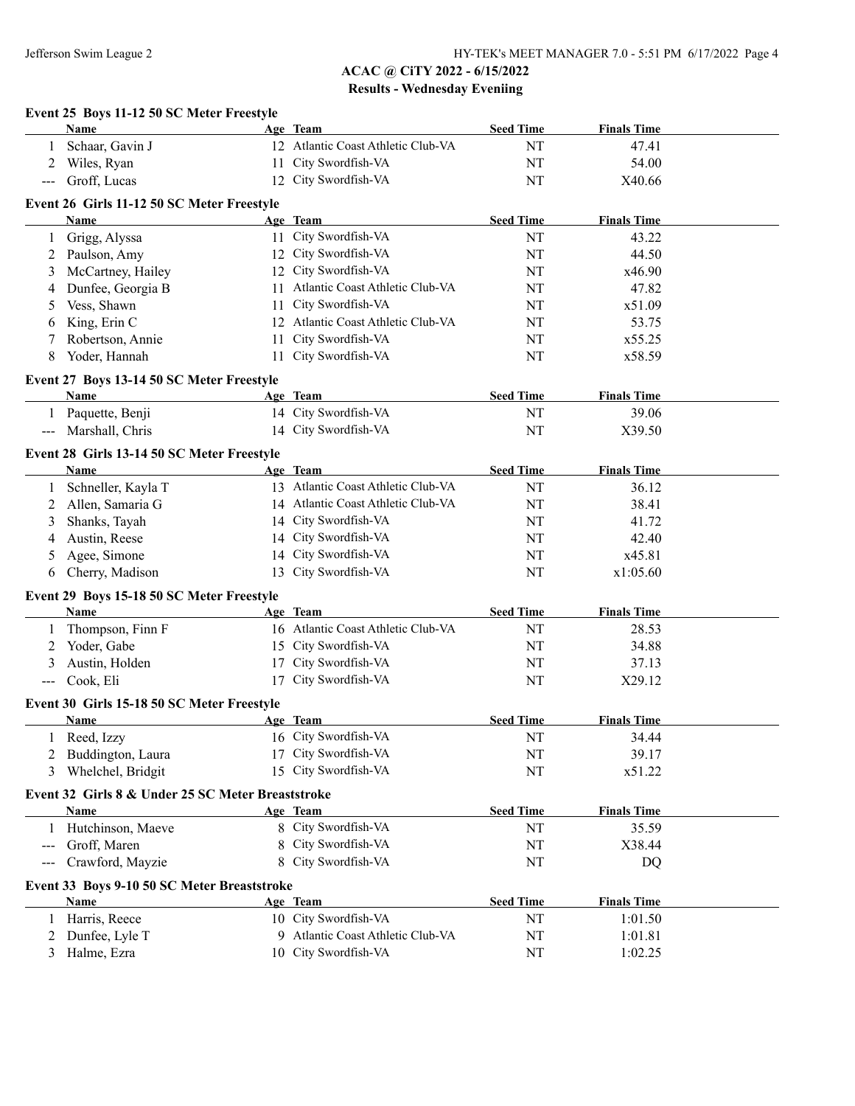|                                          | Event 25 Boys 11-12 50 SC Meter Freestyle          |    |                                    |                  |                    |  |
|------------------------------------------|----------------------------------------------------|----|------------------------------------|------------------|--------------------|--|
|                                          | Name                                               |    | Age Team                           | <b>Seed Time</b> | <b>Finals Time</b> |  |
|                                          | Schaar, Gavin J                                    |    | 12 Atlantic Coast Athletic Club-VA | NT               | 47.41              |  |
| 2                                        | Wiles, Ryan                                        |    | 11 City Swordfish-VA               | NT               | 54.00              |  |
| $\hspace{0.05cm} \ldots \hspace{0.05cm}$ | Groff, Lucas                                       |    | 12 City Swordfish-VA               | NT               | X40.66             |  |
|                                          | Event 26 Girls 11-12 50 SC Meter Freestyle         |    |                                    |                  |                    |  |
|                                          | Name                                               |    | Age Team                           | <b>Seed Time</b> | <b>Finals Time</b> |  |
|                                          | Grigg, Alyssa                                      |    | 11 City Swordfish-VA               | NT               | 43.22              |  |
| 1                                        |                                                    |    | 12 City Swordfish-VA               | NT               |                    |  |
| 2                                        | Paulson, Amy                                       |    |                                    |                  | 44.50              |  |
| 3                                        | McCartney, Hailey                                  |    | 12 City Swordfish-VA               | NT               | x46.90             |  |
| 4                                        | Dunfee, Georgia B                                  |    | 11 Atlantic Coast Athletic Club-VA | NT               | 47.82              |  |
| 5                                        | Vess, Shawn                                        | 11 | City Swordfish-VA                  | NT               | x51.09             |  |
| 6                                        | King, Erin C                                       |    | 12 Atlantic Coast Athletic Club-VA | NT               | 53.75              |  |
| 7                                        | Robertson, Annie                                   | 11 | City Swordfish-VA                  | NT               | x55.25             |  |
| 8                                        | Yoder, Hannah                                      | 11 | City Swordfish-VA                  | NT               | x58.59             |  |
|                                          | Event 27 Boys 13-14 50 SC Meter Freestyle          |    |                                    |                  |                    |  |
|                                          | Name                                               |    | Age Team                           | <b>Seed Time</b> | <b>Finals Time</b> |  |
| 1                                        | Paquette, Benji                                    |    | 14 City Swordfish-VA               | NT               | 39.06              |  |
|                                          | Marshall, Chris                                    |    | 14 City Swordfish-VA               | NT               | X39.50             |  |
|                                          |                                                    |    |                                    |                  |                    |  |
|                                          | Event 28 Girls 13-14 50 SC Meter Freestyle<br>Name |    | Age Team                           | <b>Seed Time</b> | <b>Finals Time</b> |  |
|                                          | Schneller, Kayla T                                 |    | 13 Atlantic Coast Athletic Club-VA | NT               | 36.12              |  |
| 1                                        |                                                    |    |                                    |                  |                    |  |
| 2                                        | Allen, Samaria G                                   |    | 14 Atlantic Coast Athletic Club-VA | NT               | 38.41              |  |
| 3                                        | Shanks, Tayah                                      |    | 14 City Swordfish-VA               | NT               | 41.72              |  |
| 4                                        | Austin, Reese                                      |    | 14 City Swordfish-VA               | NT               | 42.40              |  |
| 5                                        | Agee, Simone                                       |    | 14 City Swordfish-VA               | NT               | x45.81             |  |
| 6                                        | Cherry, Madison                                    | 13 | City Swordfish-VA                  | NT               | x1:05.60           |  |
|                                          | Event 29 Boys 15-18 50 SC Meter Freestyle          |    |                                    |                  |                    |  |
|                                          | <b>Name</b>                                        |    | Age Team                           | <b>Seed Time</b> | <b>Finals Time</b> |  |
|                                          | Thompson, Finn F                                   |    | 16 Atlantic Coast Athletic Club-VA | NT               | 28.53              |  |
| 2                                        | Yoder, Gabe                                        | 15 | City Swordfish-VA                  | NT               | 34.88              |  |
| 3                                        | Austin, Holden                                     | 17 | City Swordfish-VA                  | NT               | 37.13              |  |
|                                          | Cook, Eli                                          | 17 | City Swordfish-VA                  | NT               | X29.12             |  |
|                                          | Event 30 Girls 15-18 50 SC Meter Freestyle         |    |                                    |                  |                    |  |
|                                          | Name                                               |    | Age Team                           | <b>Seed Time</b> | <b>Finals Time</b> |  |
|                                          | Reed, Izzy                                         |    | 16 City Swordfish-VA               | NT               | 34.44              |  |
|                                          | Buddington, Laura                                  | 17 | City Swordfish-VA                  | NT               | 39.17              |  |
|                                          |                                                    | 15 | City Swordfish-VA                  | NT               | x51.22             |  |
| 3                                        | Whelchel, Bridgit                                  |    |                                    |                  |                    |  |
|                                          | Event 32 Girls 8 & Under 25 SC Meter Breaststroke  |    |                                    |                  |                    |  |
|                                          | Name                                               |    | Age Team                           | <b>Seed Time</b> | <b>Finals Time</b> |  |
| 1                                        | Hutchinson, Maeve                                  |    | 8 City Swordfish-VA                | NT               | 35.59              |  |
| $---$                                    | Groff, Maren                                       | 8  | City Swordfish-VA                  | NT               | X38.44             |  |
| $---$                                    | Crawford, Mayzie                                   | 8  | City Swordfish-VA                  | NT               | DQ                 |  |
|                                          | Event 33 Boys 9-10 50 SC Meter Breaststroke        |    |                                    |                  |                    |  |
|                                          | Name                                               |    | Age Team                           | <b>Seed Time</b> | <b>Finals Time</b> |  |
| 1                                        | Harris, Reece                                      |    | 10 City Swordfish-VA               | NT               | 1:01.50            |  |
| 2                                        | Dunfee, Lyle T                                     |    | 9 Atlantic Coast Athletic Club-VA  | NT               | 1:01.81            |  |
| 3                                        | Halme, Ezra                                        |    | 10 City Swordfish-VA               | NT               | 1:02.25            |  |
|                                          |                                                    |    |                                    |                  |                    |  |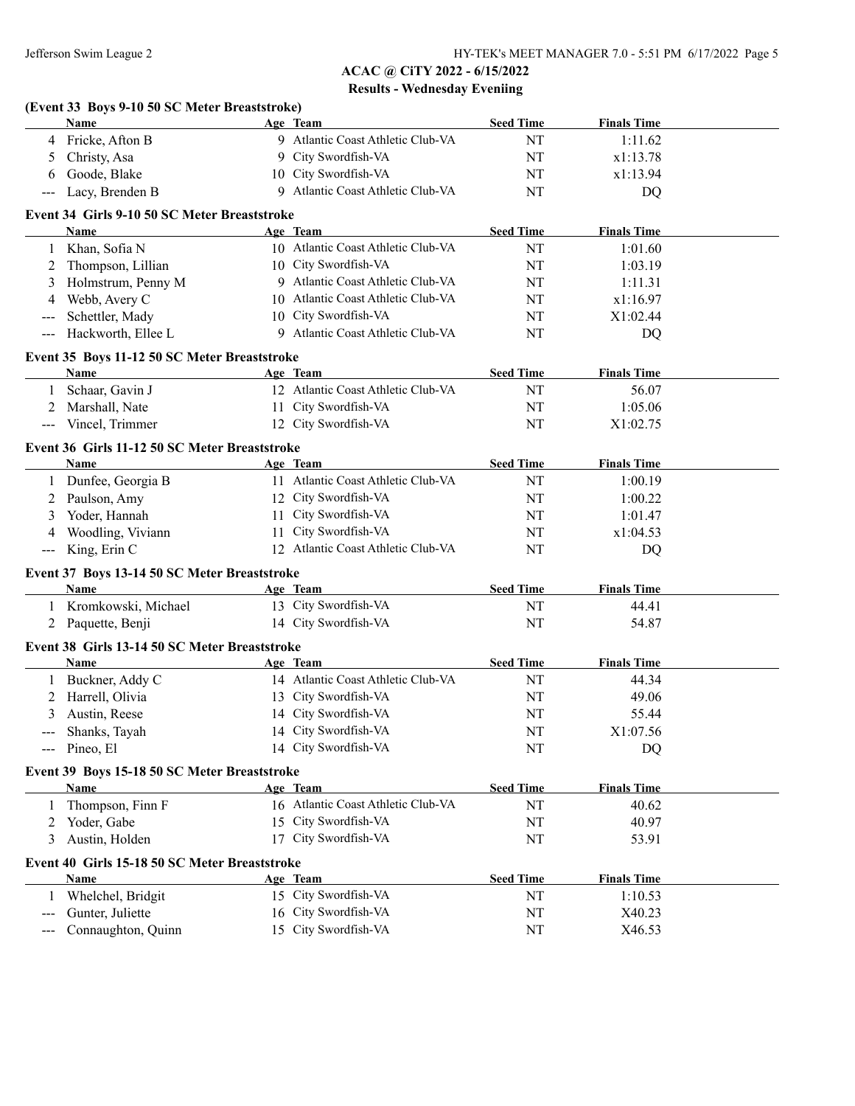|                            | (Event 33 Boys 9-10 50 SC Meter Breaststroke)<br><b>Name</b> |    |                                    |                  |                    |  |
|----------------------------|--------------------------------------------------------------|----|------------------------------------|------------------|--------------------|--|
|                            |                                                              |    | Age Team                           | <b>Seed Time</b> | <b>Finals Time</b> |  |
|                            | 4 Fricke, Afton B                                            |    | 9 Atlantic Coast Athletic Club-VA  | NT               | 1:11.62            |  |
| 5                          | Christy, Asa                                                 |    | 9 City Swordfish-VA                | NT               | x1:13.78           |  |
| 6                          | Goode, Blake                                                 |    | 10 City Swordfish-VA               | NT               | x1:13.94           |  |
| $---$                      | Lacy, Brenden B                                              |    | 9 Atlantic Coast Athletic Club-VA  | NT               | DQ                 |  |
|                            | Event 34 Girls 9-10 50 SC Meter Breaststroke                 |    |                                    |                  |                    |  |
|                            | Name                                                         |    | Age Team                           | <b>Seed Time</b> | <b>Finals Time</b> |  |
|                            | 1 Khan, Sofia N                                              |    | 10 Atlantic Coast Athletic Club-VA | NT               | 1:01.60            |  |
| 2                          | Thompson, Lillian                                            |    | 10 City Swordfish-VA               | NT               | 1:03.19            |  |
| 3                          | Holmstrum, Penny M                                           |    | 9 Atlantic Coast Athletic Club-VA  | NT               | 1:11.31            |  |
| 4                          | Webb, Avery C                                                |    | 10 Atlantic Coast Athletic Club-VA | NT               | x1:16.97           |  |
| ---                        | Schettler, Mady                                              |    | 10 City Swordfish-VA               | NT               | X1:02.44           |  |
| ---                        | Hackworth, Ellee L                                           |    | 9 Atlantic Coast Athletic Club-VA  | NT               | DQ                 |  |
|                            | Event 35 Boys 11-12 50 SC Meter Breaststroke                 |    |                                    |                  |                    |  |
|                            | Name                                                         |    | Age Team                           | <b>Seed Time</b> | <b>Finals Time</b> |  |
| $\mathbf{1}$               | Schaar, Gavin J                                              |    | 12 Atlantic Coast Athletic Club-VA | NT               | 56.07              |  |
| 2                          | Marshall, Nate                                               |    | 11 City Swordfish-VA               | NT               | 1:05.06            |  |
| $\frac{1}{2}$              | Vincel, Trimmer                                              |    | 12 City Swordfish-VA               | NT               | X1:02.75           |  |
|                            | Event 36 Girls 11-12 50 SC Meter Breaststroke                |    |                                    |                  |                    |  |
|                            | <b>Name</b>                                                  |    | Age Team                           | <b>Seed Time</b> | <b>Finals Time</b> |  |
| 1                          | Dunfee, Georgia B                                            |    | 11 Atlantic Coast Athletic Club-VA | NT               | 1:00.19            |  |
| 2                          | Paulson, Amy                                                 |    | 12 City Swordfish-VA               | NT               | 1:00.22            |  |
| 3                          | Yoder, Hannah                                                |    | 11 City Swordfish-VA               | NT               | 1:01.47            |  |
| 4                          | Woodling, Viviann                                            |    | 11 City Swordfish-VA               | NT               | x1:04.53           |  |
| $\qquad \qquad - \qquad -$ | King, Erin C                                                 |    | 12 Atlantic Coast Athletic Club-VA | NT               | DQ                 |  |
|                            | Event 37 Boys 13-14 50 SC Meter Breaststroke                 |    |                                    |                  |                    |  |
|                            | Name                                                         |    | Age Team                           | <b>Seed Time</b> | <b>Finals Time</b> |  |
|                            | 1 Kromkowski, Michael                                        |    | 13 City Swordfish-VA               | NT               | 44.41              |  |
|                            | 2 Paquette, Benji                                            |    | 14 City Swordfish-VA               | NT               | 54.87              |  |
|                            | Event 38 Girls 13-14 50 SC Meter Breaststroke                |    |                                    |                  |                    |  |
|                            | Name                                                         |    | Age Team                           | <b>Seed Time</b> | <b>Finals Time</b> |  |
| 1                          | Buckner, Addy C                                              |    | 14 Atlantic Coast Athletic Club-VA | NT               | 44.34              |  |
| 2                          | Harrell, Olivia                                              |    | 13 City Swordfish-VA               | NT               | 49.06              |  |
| 3                          | Austin, Reese                                                |    | 14 City Swordfish-VA               | NT               | 55.44              |  |
|                            |                                                              |    | 14 City Swordfish-VA               |                  |                    |  |
|                            | Shanks, Tayah                                                |    | 14 City Swordfish-VA               | NT               | X1:07.56           |  |
| ---                        | Pineo, El                                                    |    |                                    | NT               | DQ                 |  |
|                            | Event 39 Boys 15-18 50 SC Meter Breaststroke                 |    |                                    |                  |                    |  |
|                            | <b>Name</b>                                                  |    | Age Team                           | <b>Seed Time</b> | <b>Finals Time</b> |  |
|                            | Thompson, Finn F                                             |    | 16 Atlantic Coast Athletic Club-VA | NT               | 40.62              |  |
| 2                          | Yoder, Gabe                                                  | 15 | City Swordfish-VA                  | NT               | 40.97              |  |
| 3                          | Austin, Holden                                               |    | 17 City Swordfish-VA               | NT               | 53.91              |  |
|                            | Event 40 Girls 15-18 50 SC Meter Breaststroke                |    |                                    |                  |                    |  |
|                            | Name                                                         |    | Age Team                           | <b>Seed Time</b> | <b>Finals Time</b> |  |
| 1                          | Whelchel, Bridgit                                            |    | 15 City Swordfish-VA               | NT               | 1:10.53            |  |
| $---$                      | Gunter, Juliette                                             |    | 16 City Swordfish-VA               | NT               | X40.23             |  |
| ---                        | Connaughton, Quinn                                           |    | 15 City Swordfish-VA               | NT               | X46.53             |  |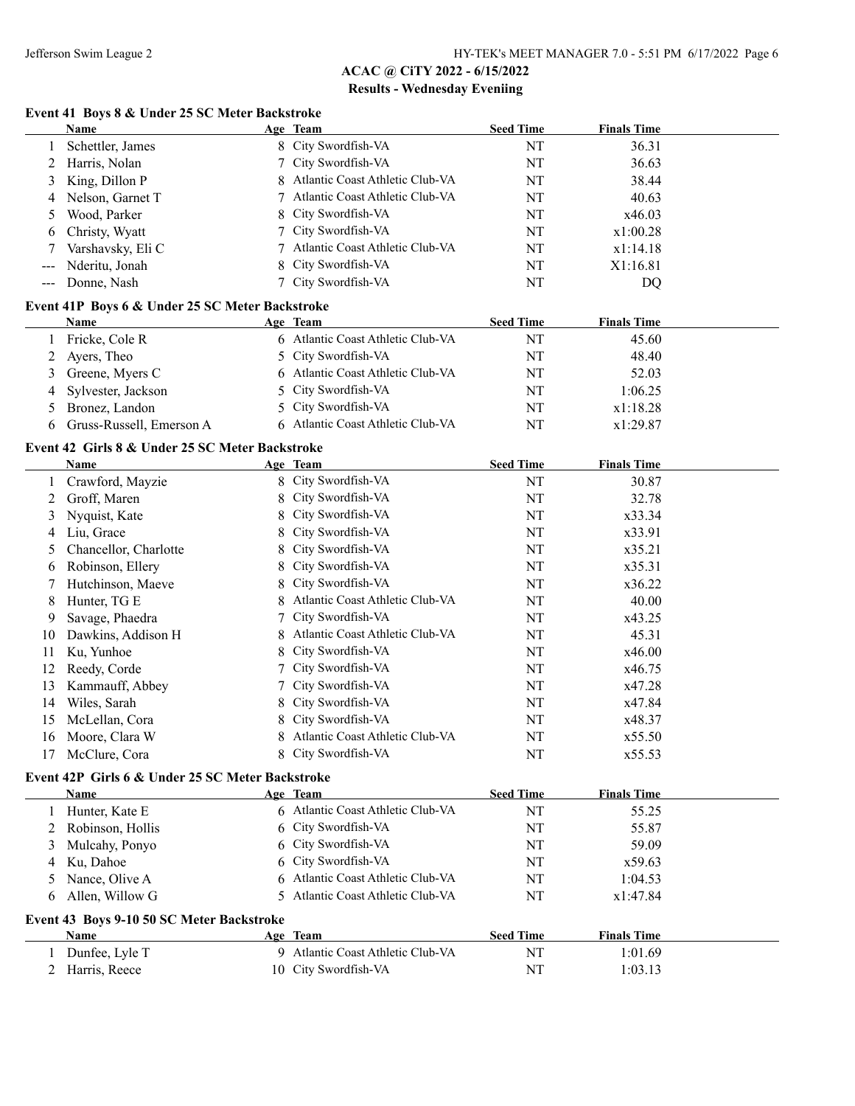## **Event 41 Boys 8 & Under 25 SC Meter Backstroke**

|                                          | <b>Name</b>                                      |    | Age Team                               | <b>Seed Time</b> | <b>Finals Time</b> |  |
|------------------------------------------|--------------------------------------------------|----|----------------------------------------|------------------|--------------------|--|
| 1                                        | Schettler, James                                 |    | 8 City Swordfish-VA                    | NT               | 36.31              |  |
| 2                                        | Harris, Nolan                                    | 7  | City Swordfish-VA                      | NT               | 36.63              |  |
| 3                                        | King, Dillon P                                   | 8  | Atlantic Coast Athletic Club-VA        | NT               | 38.44              |  |
| 4                                        | Nelson, Garnet T                                 | 7  | Atlantic Coast Athletic Club-VA        | NT               | 40.63              |  |
| 5                                        | Wood, Parker                                     | 8  | City Swordfish-VA                      | NT               | x46.03             |  |
| 6                                        | Christy, Wyatt                                   |    | City Swordfish-VA                      | NT               | x1:00.28           |  |
| 7                                        | Varshavsky, Eli C                                | 7  | Atlantic Coast Athletic Club-VA        | NT               | x1:14.18           |  |
| $---$                                    | Nderitu, Jonah                                   | 8  | City Swordfish-VA                      | NT               | X1:16.81           |  |
| $\hspace{0.05cm} \ldots \hspace{0.05cm}$ | Donne, Nash                                      | 7  | City Swordfish-VA                      | NT               | DQ                 |  |
|                                          | Event 41P Boys 6 & Under 25 SC Meter Backstroke  |    |                                        |                  |                    |  |
|                                          | Name                                             |    | Age Team                               | <b>Seed Time</b> | <b>Finals Time</b> |  |
| 1                                        | Fricke, Cole R                                   |    | 6 Atlantic Coast Athletic Club-VA      | NT               | 45.60              |  |
| 2                                        | Ayers, Theo                                      | 5. | City Swordfish-VA                      | NT               | 48.40              |  |
| 3                                        | Greene, Myers C                                  | 6  | Atlantic Coast Athletic Club-VA        | NT               | 52.03              |  |
| 4                                        | Sylvester, Jackson                               | 5. | City Swordfish-VA                      | NT               | 1:06.25            |  |
| 5                                        | Bronez, Landon                                   | 5  | City Swordfish-VA                      | NT               | x1:18.28           |  |
| 6                                        | Gruss-Russell, Emerson A                         |    | 6 Atlantic Coast Athletic Club-VA      | NT               | x1:29.87           |  |
|                                          |                                                  |    |                                        |                  |                    |  |
|                                          | Event 42 Girls 8 & Under 25 SC Meter Backstroke  |    |                                        |                  |                    |  |
|                                          | Name                                             |    | Age Team                               | <b>Seed Time</b> | <b>Finals Time</b> |  |
| 1                                        | Crawford, Mayzie                                 |    | 8 City Swordfish-VA                    | NT               | 30.87              |  |
| 2                                        | Groff, Maren                                     | 8  | City Swordfish-VA                      | NT               | 32.78              |  |
| 3                                        | Nyquist, Kate                                    | 8  | City Swordfish-VA                      | NT               | x33.34             |  |
| 4                                        | Liu, Grace                                       | 8  | City Swordfish-VA                      | NT               | x33.91             |  |
| 5                                        | Chancellor, Charlotte                            | 8  | City Swordfish-VA                      | NT               | x35.21             |  |
| 6                                        | Robinson, Ellery                                 | 8  | City Swordfish-VA                      | NT               | x35.31             |  |
| 7                                        | Hutchinson, Maeve                                | 8  | City Swordfish-VA                      | NT               | x36.22             |  |
| 8                                        | Hunter, TG E                                     |    | Atlantic Coast Athletic Club-VA        | NT               | 40.00              |  |
| 9                                        | Savage, Phaedra                                  |    | City Swordfish-VA                      | NT               | x43.25             |  |
| 10                                       | Dawkins, Addison H                               | 8  | Atlantic Coast Athletic Club-VA        | NT               | 45.31              |  |
| 11                                       | Ku, Yunhoe                                       |    | City Swordfish-VA                      | NT               | x46.00             |  |
| 12                                       | Reedy, Corde                                     |    | City Swordfish-VA                      | NT               | x46.75             |  |
| 13                                       | Kammauff, Abbey                                  | 7  | City Swordfish-VA                      | NT               | x47.28             |  |
| 14                                       | Wiles, Sarah                                     | 8  | City Swordfish-VA                      | NT               | x47.84             |  |
| 15                                       | McLellan, Cora                                   |    | City Swordfish-VA                      | NT               | x48.37             |  |
| 16                                       | Moore, Clara W                                   |    | Atlantic Coast Athletic Club-VA        | NT               | x55.50             |  |
|                                          | 17 McClure, Cora                                 |    | 8 City Swordfish-VA                    | $\mathbf{NT}$    | x55.53             |  |
|                                          | Event 42P Girls 6 & Under 25 SC Meter Backstroke |    |                                        |                  |                    |  |
|                                          | Name                                             |    | Age Team                               | <b>Seed Time</b> | <b>Finals Time</b> |  |
| 1                                        | Hunter, Kate E                                   |    | 6 Atlantic Coast Athletic Club-VA      | NT               | 55.25              |  |
|                                          | Robinson, Hollis                                 | 6  | City Swordfish-VA                      | NT               | 55.87              |  |
| 2                                        |                                                  |    |                                        |                  |                    |  |
| 3                                        | Mulcahy, Ponyo                                   | 6  | City Swordfish-VA<br>City Swordfish-VA | NT               | 59.09              |  |
| 4                                        | Ku, Dahoe                                        | 6  | Atlantic Coast Athletic Club-VA        | NT               | x59.63             |  |
| 5                                        | Nance, Olive A                                   |    |                                        | NT               | 1:04.53            |  |
| 6                                        | Allen, Willow G                                  | 5. | Atlantic Coast Athletic Club-VA        | NT               | x1:47.84           |  |
|                                          | Event 43 Boys 9-10 50 SC Meter Backstroke        |    |                                        |                  |                    |  |
|                                          | <b>Name</b>                                      |    | Age Team                               | <b>Seed Time</b> | <b>Finals Time</b> |  |
| 1                                        | Dunfee, Lyle T                                   |    | 9 Atlantic Coast Athletic Club-VA      | NT               | 1:01.69            |  |
|                                          | 2 Harris, Reece                                  |    | 10 City Swordfish-VA                   | NT               | 1:03.13            |  |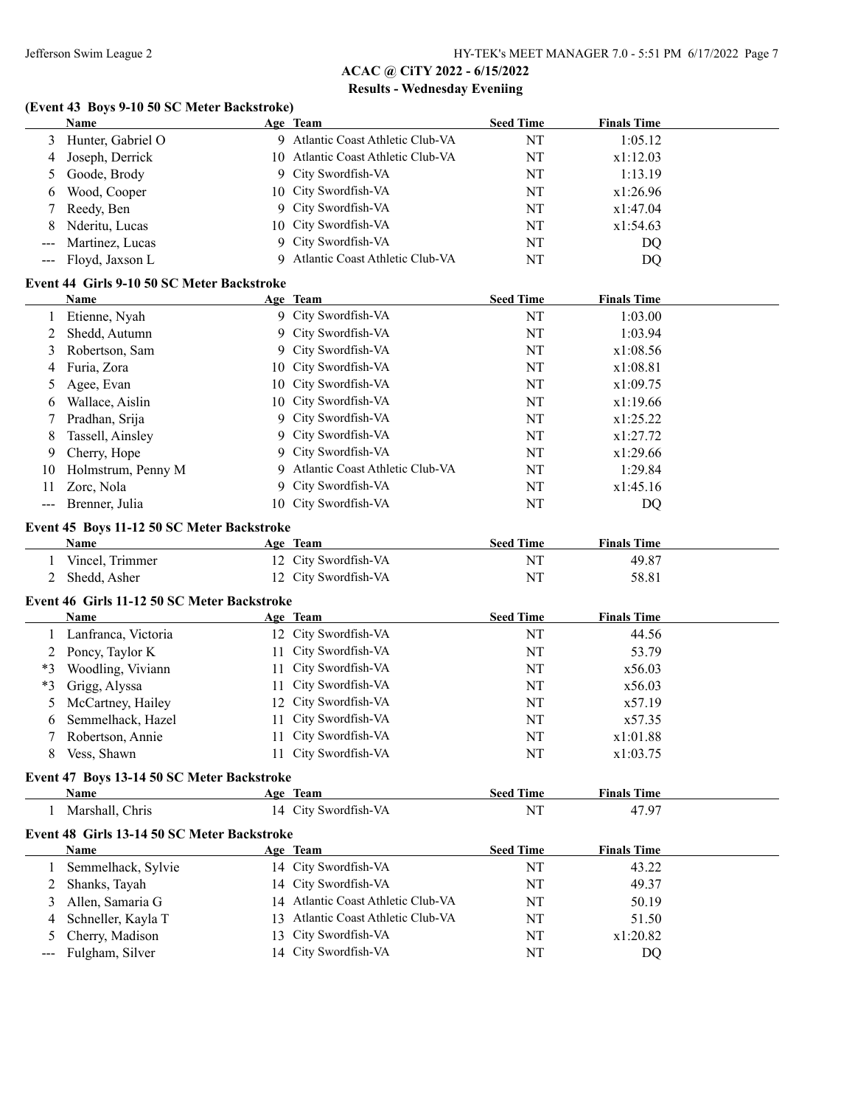# **(Event 43 Boys 9-10 50 SC Meter Backstroke)**

|              | <b>Name</b>                                 |    | Age Team                           | <b>Seed Time</b> | <b>Finals Time</b> |  |
|--------------|---------------------------------------------|----|------------------------------------|------------------|--------------------|--|
| 3            | Hunter, Gabriel O                           |    | 9 Atlantic Coast Athletic Club-VA  | NT               | 1:05.12            |  |
| 4            | Joseph, Derrick                             |    | 10 Atlantic Coast Athletic Club-VA | NT               | x1:12.03           |  |
| 5            | Goode, Brody                                | 9  | City Swordfish-VA                  | NT               | 1:13.19            |  |
| 6            | Wood, Cooper                                | 10 | City Swordfish-VA                  | NT               | x1:26.96           |  |
| 7            | Reedy, Ben                                  | 9  | City Swordfish-VA                  | NT               | x1:47.04           |  |
| 8            | Nderitu, Lucas                              | 10 | City Swordfish-VA                  | NT               | x1:54.63           |  |
| ---          | Martinez, Lucas                             | 9  | City Swordfish-VA                  | NT               | DQ                 |  |
| $---$        | Floyd, Jaxson L                             | 9  | Atlantic Coast Athletic Club-VA    | NT               | DQ                 |  |
|              | Event 44 Girls 9-10 50 SC Meter Backstroke  |    |                                    |                  |                    |  |
|              | Name                                        |    | Age Team                           | <b>Seed Time</b> | <b>Finals Time</b> |  |
|              |                                             |    | 9 City Swordfish-VA                | NT               | 1:03.00            |  |
| 1            | Etienne, Nyah                               |    | City Swordfish-VA                  |                  |                    |  |
| 2            | Shedd, Autumn                               | 9  |                                    | NT               | 1:03.94            |  |
| 3            | Robertson, Sam                              | 9  | City Swordfish-VA                  | NT               | x1:08.56           |  |
| 4            | Furia, Zora                                 | 10 | City Swordfish-VA                  | NT               | x1:08.81           |  |
| 5            | Agee, Evan                                  | 10 | City Swordfish-VA                  | NT               | x1:09.75           |  |
| 6            | Wallace, Aislin                             | 10 | City Swordfish-VA                  | NT               | x1:19.66           |  |
| 7            | Pradhan, Srija                              | 9  | City Swordfish-VA                  | NT               | x1:25.22           |  |
| 8            | Tassell, Ainsley                            | 9  | City Swordfish-VA                  | NT               | x1:27.72           |  |
| 9            | Cherry, Hope                                | 9  | City Swordfish-VA                  | NT               | x1:29.66           |  |
| 10           | Holmstrum, Penny M                          | 9  | Atlantic Coast Athletic Club-VA    | NT               | 1:29.84            |  |
| 11           | Zorc, Nola                                  | 9  | City Swordfish-VA                  | NT               | x1:45.16           |  |
|              | Brenner, Julia                              |    | 10 City Swordfish-VA               | NT               | DQ                 |  |
|              | Event 45 Boys 11-12 50 SC Meter Backstroke  |    |                                    |                  |                    |  |
|              | <b>Name</b>                                 |    | Age Team                           | <b>Seed Time</b> | <b>Finals Time</b> |  |
| 1            | Vincel, Trimmer                             |    | 12 City Swordfish-VA               | NT               | 49.87              |  |
| 2            | Shedd, Asher                                |    | 12 City Swordfish-VA               | NT               | 58.81              |  |
|              |                                             |    |                                    |                  |                    |  |
|              | Event 46 Girls 11-12 50 SC Meter Backstroke |    |                                    |                  |                    |  |
|              | <b>Name</b>                                 |    | Age Team                           | <b>Seed Time</b> | <b>Finals Time</b> |  |
| 1            | Lanfranca, Victoria                         |    | 12 City Swordfish-VA               | NT               | 44.56              |  |
| 2            | Poncy, Taylor K                             | 11 | City Swordfish-VA                  | NT               | 53.79              |  |
| $*3$         | Woodling, Viviann                           | 11 | City Swordfish-VA                  | NT               | x56.03             |  |
| *3           | Grigg, Alyssa                               | 11 | City Swordfish-VA                  | NT               | x56.03             |  |
| 5            | McCartney, Hailey                           | 12 | City Swordfish-VA                  | NT               | x57.19             |  |
| 6            | Semmelhack, Hazel                           | 11 | City Swordfish-VA                  | NT               | x57.35             |  |
| 7            | Robertson, Annie                            | 11 | City Swordfish-VA                  | NT               | x1:01.88           |  |
| 8            | Vess, Shawn                                 |    | 11 City Swordfish-VA               | NT               | x1:03.75           |  |
|              | Event 47 Boys 13-14 50 SC Meter Backstroke  |    |                                    |                  |                    |  |
|              | Name                                        |    | Age Team                           | <b>Seed Time</b> | <b>Finals Time</b> |  |
| 1            | Marshall, Chris                             |    | 14 City Swordfish-VA               | NT               | 47.97              |  |
|              | Event 48 Girls 13-14 50 SC Meter Backstroke |    |                                    |                  |                    |  |
|              |                                             |    |                                    |                  |                    |  |
|              | Name                                        |    | Age Team<br>14 City Swordfish-VA   | <b>Seed Time</b> | <b>Finals Time</b> |  |
| $\mathbf{1}$ | Semmelhack, Sylvie                          |    |                                    | NT               | 43.22              |  |
| 2            | Shanks, Tayah                               |    | 14 City Swordfish-VA               | NT               | 49.37              |  |
| 3            | Allen, Samaria G                            |    | 14 Atlantic Coast Athletic Club-VA | NT               | 50.19              |  |
| 4            | Schneller, Kayla T                          | 13 | Atlantic Coast Athletic Club-VA    | NT               | 51.50              |  |
| 5            | Cherry, Madison                             | 13 | City Swordfish-VA                  | NT               | x1:20.82           |  |
| ---          | Fulgham, Silver                             |    | 14 City Swordfish-VA               | NT               | DQ                 |  |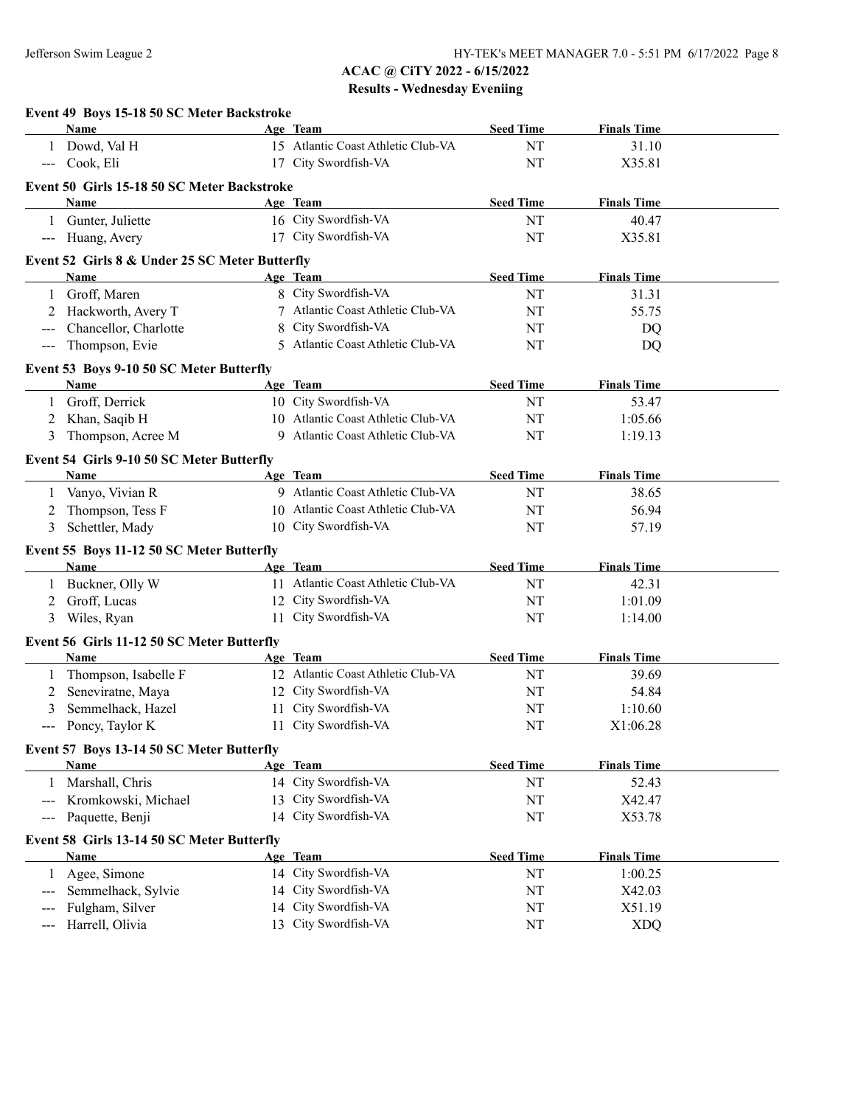|                     | Event 49 Boys 15-18 50 SC Meter Backstroke             |    |                                    |                  |                    |  |
|---------------------|--------------------------------------------------------|----|------------------------------------|------------------|--------------------|--|
|                     | Name                                                   |    | Age Team                           | <b>Seed Time</b> | <b>Finals Time</b> |  |
| 1                   | Dowd, Val H                                            |    | 15 Atlantic Coast Athletic Club-VA | NT               | 31.10              |  |
|                     | --- Cook, Eli                                          |    | 17 City Swordfish-VA               | NT               | X35.81             |  |
|                     | Event 50 Girls 15-18 50 SC Meter Backstroke            |    |                                    |                  |                    |  |
|                     | Name                                                   |    | Age Team                           | <b>Seed Time</b> | <b>Finals Time</b> |  |
|                     | 1 Gunter, Juliette                                     |    | 16 City Swordfish-VA               | NT               | 40.47              |  |
| $\qquad \qquad - -$ | Huang, Avery                                           |    | 17 City Swordfish-VA               | <b>NT</b>        | X35.81             |  |
|                     |                                                        |    |                                    |                  |                    |  |
|                     | Event 52 Girls 8 & Under 25 SC Meter Butterfly<br>Name |    | Age Team                           | <b>Seed Time</b> | <b>Finals Time</b> |  |
|                     | Groff, Maren                                           |    | 8 City Swordfish-VA                | NT               | 31.31              |  |
|                     | Hackworth, Avery T                                     |    | 7 Atlantic Coast Athletic Club-VA  | NT               | 55.75              |  |
|                     | Chancellor, Charlotte                                  | 8  | City Swordfish-VA                  |                  |                    |  |
| $\qquad \qquad - -$ |                                                        |    | 5 Atlantic Coast Athletic Club-VA  | NT               | DQ                 |  |
| ---                 | Thompson, Evie                                         |    |                                    | NT               | <b>DQ</b>          |  |
|                     | Event 53 Boys 9-10 50 SC Meter Butterfly               |    |                                    |                  |                    |  |
|                     | Name                                                   |    | Age Team                           | <b>Seed Time</b> | <b>Finals Time</b> |  |
| 1                   | Groff, Derrick                                         |    | 10 City Swordfish-VA               | NT               | 53.47              |  |
| 2                   | Khan, Saqib H                                          |    | 10 Atlantic Coast Athletic Club-VA | NT               | 1:05.66            |  |
| 3                   | Thompson, Acree M                                      |    | 9 Atlantic Coast Athletic Club-VA  | NT               | 1:19.13            |  |
|                     | Event 54 Girls 9-10 50 SC Meter Butterfly              |    |                                    |                  |                    |  |
|                     | Name                                                   |    | Age Team                           | <b>Seed Time</b> | <b>Finals Time</b> |  |
| 1                   | Vanyo, Vivian R                                        |    | 9 Atlantic Coast Athletic Club-VA  | NT               | 38.65              |  |
| 2                   | Thompson, Tess F                                       |    | 10 Atlantic Coast Athletic Club-VA | NT               | 56.94              |  |
| 3                   | Schettler, Mady                                        |    | 10 City Swordfish-VA               | NT               | 57.19              |  |
|                     | Event 55 Boys 11-12 50 SC Meter Butterfly              |    |                                    |                  |                    |  |
|                     | Name                                                   |    | Age Team                           | <b>Seed Time</b> | <b>Finals Time</b> |  |
|                     | 1 Buckner, Olly W                                      |    | 11 Atlantic Coast Athletic Club-VA | NT               | 42.31              |  |
| 2                   | Groff, Lucas                                           |    | 12 City Swordfish-VA               | NT               | 1:01.09            |  |
| 3                   | Wiles, Ryan                                            |    | 11 City Swordfish-VA               | NT               | 1:14.00            |  |
|                     | Event 56 Girls 11-12 50 SC Meter Butterfly             |    |                                    |                  |                    |  |
|                     | Name                                                   |    | Age Team                           | <b>Seed Time</b> | <b>Finals Time</b> |  |
|                     | Thompson, Isabelle F                                   |    | 12 Atlantic Coast Athletic Club-VA | NT               | 39.69              |  |
| 1                   | Seneviratne, Maya                                      |    | 12 City Swordfish-VA               | NT               | 54.84              |  |
| 2<br>3              | Semmelhack, Hazel                                      |    | 11 City Swordfish-VA               | NT               | 1:10.60            |  |
|                     |                                                        |    | 11 City Swordfish-VA               | $\rm{NT}$        | X1:06.28           |  |
|                     | Poncy, Taylor K                                        |    |                                    |                  |                    |  |
|                     | Event 57 Boys 13-14 50 SC Meter Butterfly              |    |                                    |                  |                    |  |
|                     | <b>Name</b>                                            |    | Age Team                           | <b>Seed Time</b> | <b>Finals Time</b> |  |
| 1                   | Marshall, Chris                                        |    | 14 City Swordfish-VA               | NT               | 52.43              |  |
|                     | Kromkowski, Michael                                    | 13 | City Swordfish-VA                  | NT               | X42.47             |  |
| ---                 | Paquette, Benji                                        | 14 | City Swordfish-VA                  | NT               | X53.78             |  |
|                     | Event 58 Girls 13-14 50 SC Meter Butterfly             |    |                                    |                  |                    |  |
|                     | Name                                                   |    | Age Team                           | <b>Seed Time</b> | <b>Finals Time</b> |  |
|                     | Agee, Simone                                           |    | 14 City Swordfish-VA               | NT               | 1:00.25            |  |
|                     | Semmelhack, Sylvie                                     | 14 | City Swordfish-VA                  | NT               | X42.03             |  |
|                     | Fulgham, Silver                                        |    | 14 City Swordfish-VA               | NT               | X51.19             |  |
| ---                 | Harrell, Olivia                                        |    | 13 City Swordfish-VA               | NT               | <b>XDQ</b>         |  |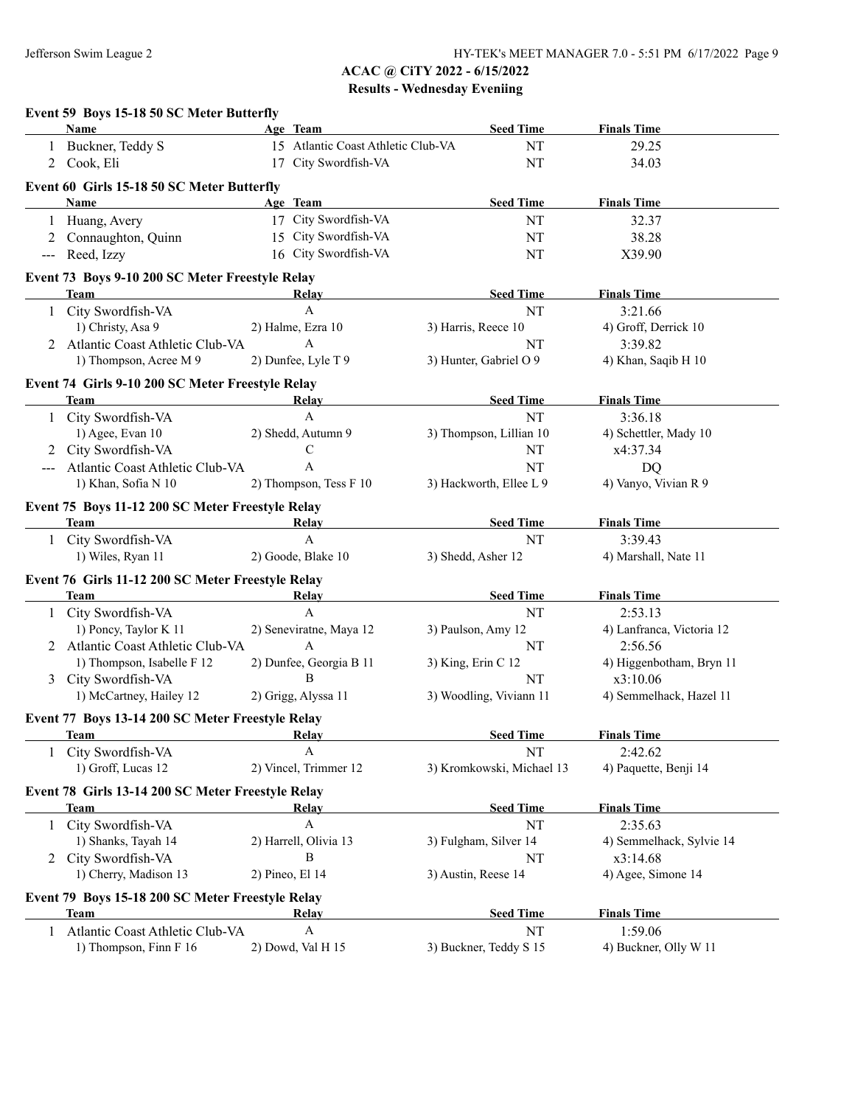|                     | Event 59 Boys 15-18 50 SC Meter Butterfly                                                                                                                                                                                           |                                    |                           |                           |
|---------------------|-------------------------------------------------------------------------------------------------------------------------------------------------------------------------------------------------------------------------------------|------------------------------------|---------------------------|---------------------------|
|                     | Name                                                                                                                                                                                                                                | Age Team                           | <b>Seed Time</b>          | <b>Finals Time</b>        |
| 1                   | Buckner, Teddy S                                                                                                                                                                                                                    | 15 Atlantic Coast Athletic Club-VA | NT                        | 29.25                     |
|                     | 2 Cook, Eli                                                                                                                                                                                                                         | 17 City Swordfish-VA               | <b>NT</b>                 | 34.03                     |
|                     | Event 60 Girls 15-18 50 SC Meter Butterfly                                                                                                                                                                                          |                                    |                           |                           |
|                     | Name                                                                                                                                                                                                                                | Age Team                           | <b>Seed Time</b>          | <b>Finals Time</b>        |
| 1                   | Huang, Avery                                                                                                                                                                                                                        | 17 City Swordfish-VA               | NT                        | 32.37                     |
|                     | 2 Connaughton, Quinn                                                                                                                                                                                                                | 15 City Swordfish-VA               | NT                        | 38.28                     |
| $\qquad \qquad - -$ | Reed, Izzy                                                                                                                                                                                                                          | 16 City Swordfish-VA               | NT                        | X39.90                    |
|                     | Event 73 Boys 9-10 200 SC Meter Freestyle Relay                                                                                                                                                                                     |                                    |                           |                           |
|                     | <b>Team</b>                                                                                                                                                                                                                         | Relay                              | <b>Seed Time</b>          | <b>Finals Time</b>        |
|                     | 1 City Swordfish-VA                                                                                                                                                                                                                 | $\mathbf{A}$                       | NT                        | 3:21.66                   |
|                     | 1) Christy, Asa 9                                                                                                                                                                                                                   | 2) Halme, Ezra 10                  | 3) Harris, Reece 10       | 4) Groff, Derrick 10      |
|                     | 2 Atlantic Coast Athletic Club-VA                                                                                                                                                                                                   | A                                  | NT                        | 3:39.82                   |
|                     | 1) Thompson, Acree M 9                                                                                                                                                                                                              | 2) Dunfee, Lyle T 9                | 3) Hunter, Gabriel O 9    | 4) Khan, Saqib H 10       |
|                     | Event 74 Girls 9-10 200 SC Meter Freestyle Relay                                                                                                                                                                                    |                                    |                           |                           |
|                     | <b>Team</b>                                                                                                                                                                                                                         | Relay                              | <b>Seed Time</b>          | <b>Finals Time</b>        |
|                     | 1 City Swordfish-VA                                                                                                                                                                                                                 | A                                  | NT                        | 3:36.18                   |
|                     | 1) Agee, Evan 10                                                                                                                                                                                                                    | 2) Shedd, Autumn 9                 | 3) Thompson, Lillian 10   | 4) Schettler, Mady 10     |
|                     | 2 City Swordfish-VA                                                                                                                                                                                                                 | $\mathbf C$                        | NT                        | x4:37.34                  |
|                     | Atlantic Coast Athletic Club-VA                                                                                                                                                                                                     | A                                  | NT                        | DQ                        |
|                     | 1) Khan, Sofia N 10                                                                                                                                                                                                                 | 2) Thompson, Tess F 10             | 3) Hackworth, Ellee L 9   | 4) Vanyo, Vivian R 9      |
|                     | Event 75 Boys 11-12 200 SC Meter Freestyle Relay                                                                                                                                                                                    |                                    |                           |                           |
|                     | <b>Team</b> and the state of the state of the state of the state of the state of the state of the state of the state of the state of the state of the state of the state of the state of the state of the state of the state of the | <b>Relay</b>                       | <b>Seed Time</b>          | <b>Finals Time</b>        |
|                     | 1 City Swordfish-VA                                                                                                                                                                                                                 | $\mathbf{A}$                       | NT                        | 3:39.43                   |
|                     | 1) Wiles, Ryan 11                                                                                                                                                                                                                   | 2) Goode, Blake 10                 | 3) Shedd, Asher 12        | 4) Marshall, Nate 11      |
|                     | Event 76 Girls 11-12 200 SC Meter Freestyle Relay<br>Team                                                                                                                                                                           | <b>Relay</b>                       | <b>Seed Time</b>          | <b>Finals Time</b>        |
|                     | 1 City Swordfish-VA                                                                                                                                                                                                                 | A                                  | NT                        | 2:53.13                   |
|                     | 1) Poncy, Taylor K 11                                                                                                                                                                                                               | 2) Seneviratne, Maya 12            |                           |                           |
|                     |                                                                                                                                                                                                                                     |                                    | 3) Paulson, Amy 12        | 4) Lanfranca, Victoria 12 |
|                     | 2 Atlantic Coast Athletic Club-VA                                                                                                                                                                                                   | A                                  | NT                        | 2:56.56                   |
|                     | 1) Thompson, Isabelle F 12                                                                                                                                                                                                          | 2) Dunfee, Georgia B 11            | 3) King, Erin C 12        | 4) Higgenbotham, Bryn 11  |
|                     | 3 City Swordfish-VA                                                                                                                                                                                                                 | B                                  | NT                        | x3:10.06                  |
|                     | 1) McCartney, Hailey 12                                                                                                                                                                                                             | 2) Grigg, Alyssa 11                | 3) Woodling, Viviann 11   | 4) Semmelhack, Hazel 11   |
|                     | Event 77 Boys 13-14 200 SC Meter Freestyle Relay                                                                                                                                                                                    |                                    |                           |                           |
|                     | <b>Team</b>                                                                                                                                                                                                                         | Relay                              | <b>Seed Time</b>          | <b>Finals Time</b>        |
| 1                   | City Swordfish-VA                                                                                                                                                                                                                   | $\mathbf{A}$                       | NT                        | 2:42.62                   |
|                     | 1) Groff, Lucas 12                                                                                                                                                                                                                  | 2) Vincel, Trimmer 12              | 3) Kromkowski, Michael 13 | 4) Paquette, Benji 14     |
|                     | Event 78 Girls 13-14 200 SC Meter Freestyle Relay                                                                                                                                                                                   |                                    |                           |                           |
|                     | Team                                                                                                                                                                                                                                | <b>Relay</b>                       | <b>Seed Time</b>          | <b>Finals Time</b>        |
| 1                   | City Swordfish-VA                                                                                                                                                                                                                   | A                                  | NT                        | 2:35.63                   |
|                     | 1) Shanks, Tayah 14                                                                                                                                                                                                                 | 2) Harrell, Olivia 13              | 3) Fulgham, Silver 14     | 4) Semmelhack, Sylvie 14  |
|                     | 2 City Swordfish-VA                                                                                                                                                                                                                 | B                                  | NT                        | x3:14.68                  |
|                     | 1) Cherry, Madison 13                                                                                                                                                                                                               | 2) Pineo, El 14                    | 3) Austin, Reese 14       | 4) Agee, Simone 14        |
|                     | Event 79 Boys 15-18 200 SC Meter Freestyle Relay                                                                                                                                                                                    |                                    |                           |                           |
|                     | <b>Team</b>                                                                                                                                                                                                                         | <b>Relay</b>                       | <b>Seed Time</b>          | <b>Finals Time</b>        |
| 1                   | Atlantic Coast Athletic Club-VA                                                                                                                                                                                                     | A                                  | NT                        | 1:59.06                   |
|                     | 1) Thompson, Finn F 16                                                                                                                                                                                                              | 2) Dowd, Val H 15                  | 3) Buckner, Teddy S 15    | 4) Buckner, Olly W 11     |